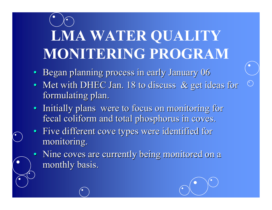## **LMA WATER QUALITY MONITERING PROGRAM**

- Began planning process in early January 06
- Met with DHEC Jan. 18 to discuss & get ideas for formulating plan.
- Initially plans were to focus on monitoring for fecal coliform and total phosphorus in coves.
- Five different cove types were identified for monitoring.
- Nine coves are currently being monitored on a monthly basis.

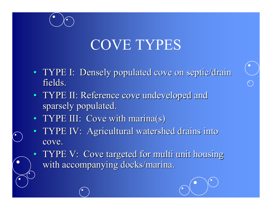### COVE TYPES

- TYPE I: Densely populated cove on septic/drain fields. fields.
- TYPE II: Reference cove undeveloped and sparsely populated.
- TYPE III: Cove with marina(s)
- TYPE IV: Agricultural watershed drains into cove.
- TYPE V: Cove targeted for multi unit housing with accompanying docks/marina.

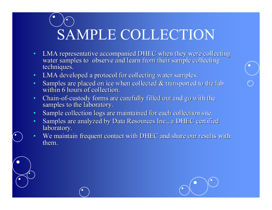# SAMPLE COLLECTION

- •LMA representative accompanied DHEC when they were collecting water samples to observe and learn from their sample collecting techniques.
- •LMA developed a protocol for collecting water samples.
- •• Samples are placed on ice when collected & transported to the lab. within 6 hours of collection.
- •• Chain-of-custody forms are carefully filled out and go with the samples to the laboratory.
- •Sample collection logs are maintained for each collection site.
- •Samples are analyzed by Data Resources Inc., a DHEC certified laboratory.
- •We maintain frequent contact with DHEC and share our results with them.

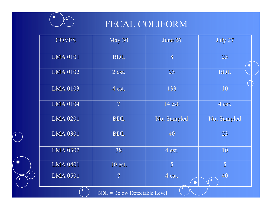

 $\left( \bullet \right)$ 

 $\bullet$ 

 $\bullet$ 

 $\bullet$ 

#### FECAL COLIFORM

| <b>COVES</b>                        | May 30                   | June 26            | July 27        |
|-------------------------------------|--------------------------|--------------------|----------------|
| <b>LMA 0101</b>                     | <b>BDL</b>               | 8                  | 25             |
| <b>LMA 0102</b>                     | $2$ est.                 | 23                 | <b>BDL</b>     |
| <b>LMA 0103</b>                     | 4 est.                   | 133                | 10             |
| <b>LMA 0104</b>                     | $\overline{7}$           | 14 est.            | 4 est.         |
| <b>LMA 0201</b>                     | <b>BDL</b>               | <b>Not Sampled</b> | Not Sampled    |
| <b>LMA 0301</b>                     | <b>BDL</b>               | 40                 | 23             |
| <b>LMA 0302</b>                     | 38                       | 4 est.             | 10             |
| <b>LMA 0401</b>                     | 10 est.                  | 5 <sup>1</sup>     | 5 <sup>1</sup> |
| <b>LMA 0501</b>                     | $\overline{\mathcal{U}}$ | 4 est.             | 40             |
| <b>BDL</b> = Below Detectable Level |                          |                    |                |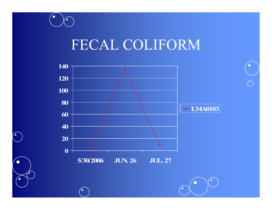#### FECAL COLIFORM

 $\bullet$ 

 $\left( \bullet \right)$ 

 $\bullet$ 

 $\left( \bullet \right)$ 



 $\bigodot$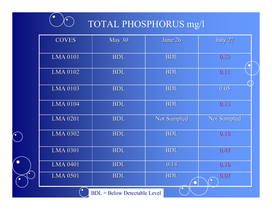

 $\bullet$ 

●

#### TOTAL PHOSPHORUS mg/l

| <b>COVES</b>                        | May 30     | June 26            | July 27            |  |
|-------------------------------------|------------|--------------------|--------------------|--|
| <b>LMA 0101</b>                     | <b>BDL</b> | <b>BDL</b>         | 0.53               |  |
| <b>LMA 0102</b>                     | <b>BDL</b> | <b>BDL</b>         | 0.11               |  |
| <b>LMA 0103</b>                     | <b>BDL</b> | <b>BDL</b>         | 0.05               |  |
| <b>LMA 0104</b>                     | <b>BDL</b> | <b>BDL</b>         | 0.15               |  |
| <b>LMA 0201</b>                     | <b>BDL</b> | <b>Not Sampled</b> | <b>Not Sampled</b> |  |
| <b>LMA 0302</b>                     | <b>BDL</b> | <b>BDL</b>         | 0.10               |  |
| <b>LMA 0301</b>                     | <b>BDL</b> | <b>BDL</b>         | 0.47               |  |
| <b>LMA 0401</b>                     | <b>BDL</b> | 0.14               | 0.10               |  |
| <b>LMA 0501</b>                     | <b>BDL</b> | <b>BDL</b>         | 0.07<br>$\bullet$  |  |
| <b>BDL</b> = Below Detectable Level |            |                    |                    |  |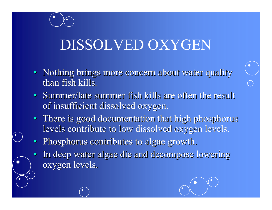## DISSOLVED OXYGEN

- Nothing brings more concern about water quality than fish kills.
- Summer/late summer fish kills are often the result of insufficient dissolved oxygen.
- There is good documentation that high phosphorus levels contribute to low dissolved oxygen levels.
- Phosphorus contributes to algae growth.
- •In deep water algae die and decompose lowering oxygen levels.

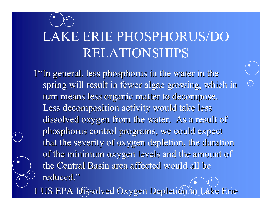## LAKE ERIE PHOSPHORUS/DO RELATIONSHIPS

1"In general, less phosphorus in the water in the spring will result in fewer algae growing, which in turn means less organic matter to decompose. Less decomposition activity would take less dissolved oxygen from the water. As a result of phosphorus control programs, we could expect that the severity of oxygen depletion, the duration of the minimum oxygen levels and the amount of the Central Basin area affected would all be reduced."

1 US EPA Dissolved Oxygen Depletion in Lake Erie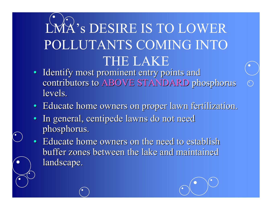## LMA's DESIRE IS TO LOWER POLLUTANTS COMING INTO THE LAKE

- Identify most prominent entry points and contributors to ABOVE STANDARD phosphorus levels.
- Educate home owners on proper lawn fertilization.
- In general, centipede lawns do not need phosphorus. phosphorus.
- Educate home owners on the need to establish buffer zones between the lake and maintained landscape.